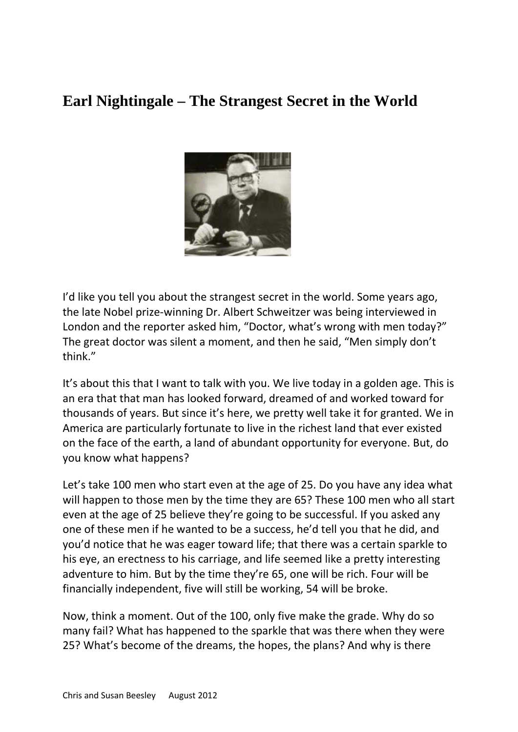# **Earl Nightingale – The Strangest Secret in the World**



I'd like you tell you about the strangest secret in the world. Some years ago, the late Nobel prize-winning Dr. Albert Schweitzer was being interviewed in London and the reporter asked him, "Doctor, what's wrong with men today?" The great doctor was silent a moment, and then he said, "Men simply don't think."

It's about this that I want to talk with you. We live today in a golden age. This is an era that that man has looked forward, dreamed of and worked toward for thousands of years. But since it's here, we pretty well take it for granted. We in America are particularly fortunate to live in the richest land that ever existed on the face of the earth, a land of abundant opportunity for everyone. But, do you know what happens?

Let's take 100 men who start even at the age of 25. Do you have any idea what will happen to those men by the time they are 65? These 100 men who all start even at the age of 25 believe they're going to be successful. If you asked any one of these men if he wanted to be a success, he'd tell you that he did, and you'd notice that he was eager toward life; that there was a certain sparkle to his eye, an erectness to his carriage, and life seemed like a pretty interesting adventure to him. But by the time they're 65, one will be rich. Four will be financially independent, five will still be working, 54 will be broke.

Now, think a moment. Out of the 100, only five make the grade. Why do so many fail? What has happened to the sparkle that was there when they were 25? What's become of the dreams, the hopes, the plans? And why is there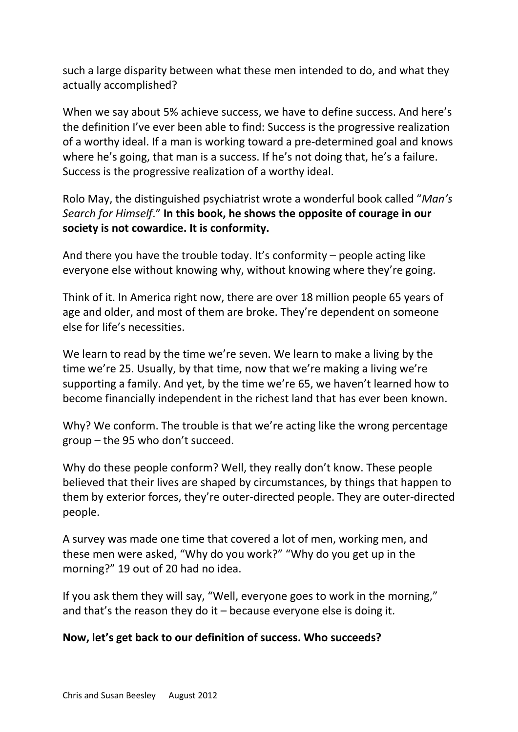such a large disparity between what these men intended to do, and what they actually accomplished?

When we say about 5% achieve success, we have to define success. And here's the definition I've ever been able to find: Success is the progressive realization of a worthy ideal. If a man is working toward a pre-determined goal and knows where he's going, that man is a success. If he's not doing that, he's a failure. Success is the progressive realization of a worthy ideal.

Rolo May, the distinguished psychiatrist wrote a wonderful book called "*Man's Search for Himself*." **In this book, he shows the opposite of courage in our society is not cowardice. It is conformity.**

And there you have the trouble today. It's conformity – people acting like everyone else without knowing why, without knowing where they're going.

Think of it. In America right now, there are over 18 million people 65 years of age and older, and most of them are broke. They're dependent on someone else for life's necessities.

We learn to read by the time we're seven. We learn to make a living by the time we're 25. Usually, by that time, now that we're making a living we're supporting a family. And yet, by the time we're 65, we haven't learned how to become financially independent in the richest land that has ever been known.

Why? We conform. The trouble is that we're acting like the wrong percentage group – the 95 who don't succeed.

Why do these people conform? Well, they really don't know. These people believed that their lives are shaped by circumstances, by things that happen to them by exterior forces, they're outer-directed people. They are outer-directed people.

A survey was made one time that covered a lot of men, working men, and these men were asked, "Why do you work?" "Why do you get up in the morning?" 19 out of 20 had no idea.

If you ask them they will say, "Well, everyone goes to work in the morning," and that's the reason they do it – because everyone else is doing it.

#### **Now, let's get back to our definition of success. Who succeeds?**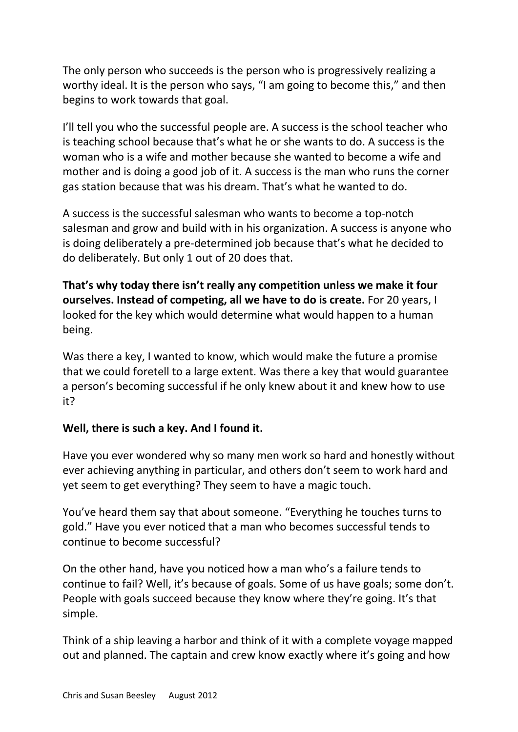The only person who succeeds is the person who is progressively realizing a worthy ideal. It is the person who says, "I am going to become this," and then begins to work towards that goal.

I'll tell you who the successful people are. A success is the school teacher who is teaching school because that's what he or she wants to do. A success is the woman who is a wife and mother because she wanted to become a wife and mother and is doing a good job of it. A success is the man who runs the corner gas station because that was his dream. That's what he wanted to do.

A success is the successful salesman who wants to become a top-notch salesman and grow and build with in his organization. A success is anyone who is doing deliberately a pre-determined job because that's what he decided to do deliberately. But only 1 out of 20 does that.

**That's why today there isn't really any competition unless we make it four ourselves. Instead of competing, all we have to do is create.** For 20 years, I looked for the key which would determine what would happen to a human being.

Was there a key, I wanted to know, which would make the future a promise that we could foretell to a large extent. Was there a key that would guarantee a person's becoming successful if he only knew about it and knew how to use it?

#### **Well, there is such a key. And I found it.**

Have you ever wondered why so many men work so hard and honestly without ever achieving anything in particular, and others don't seem to work hard and yet seem to get everything? They seem to have a magic touch.

You've heard them say that about someone. "Everything he touches turns to gold." Have you ever noticed that a man who becomes successful tends to continue to become successful?

On the other hand, have you noticed how a man who's a failure tends to continue to fail? Well, it's because of goals. Some of us have goals; some don't. People with goals succeed because they know where they're going. It's that simple.

Think of a ship leaving a harbor and think of it with a complete voyage mapped out and planned. The captain and crew know exactly where it's going and how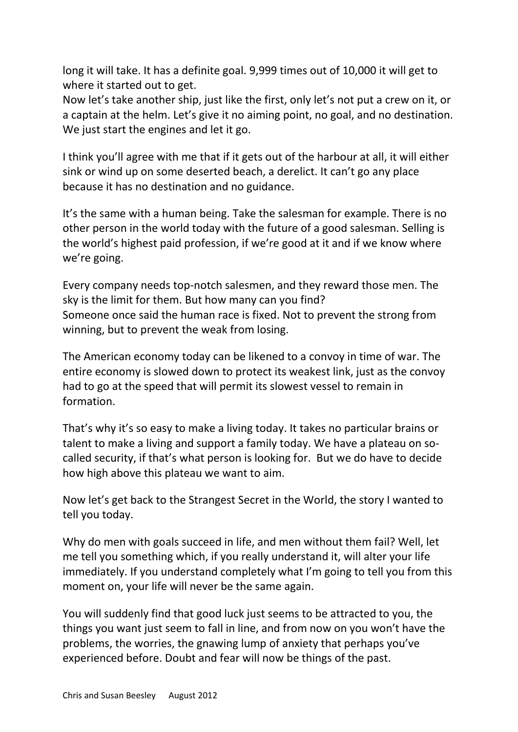long it will take. It has a definite goal. 9,999 times out of 10,000 it will get to where it started out to get.

Now let's take another ship, just like the first, only let's not put a crew on it, or a captain at the helm. Let's give it no aiming point, no goal, and no destination. We just start the engines and let it go.

I think you'll agree with me that if it gets out of the harbour at all, it will either sink or wind up on some deserted beach, a derelict. It can't go any place because it has no destination and no guidance.

It's the same with a human being. Take the salesman for example. There is no other person in the world today with the future of a good salesman. Selling is the world's highest paid profession, if we're good at it and if we know where we're going.

Every company needs top-notch salesmen, and they reward those men. The sky is the limit for them. But how many can you find? Someone once said the human race is fixed. Not to prevent the strong from winning, but to prevent the weak from losing.

The American economy today can be likened to a convoy in time of war. The entire economy is slowed down to protect its weakest link, just as the convoy had to go at the speed that will permit its slowest vessel to remain in formation.

That's why it's so easy to make a living today. It takes no particular brains or talent to make a living and support a family today. We have a plateau on socalled security, if that's what person is looking for. But we do have to decide how high above this plateau we want to aim.

Now let's get back to the Strangest Secret in the World, the story I wanted to tell you today.

Why do men with goals succeed in life, and men without them fail? Well, let me tell you something which, if you really understand it, will alter your life immediately. If you understand completely what I'm going to tell you from this moment on, your life will never be the same again.

You will suddenly find that good luck just seems to be attracted to you, the things you want just seem to fall in line, and from now on you won't have the problems, the worries, the gnawing lump of anxiety that perhaps you've experienced before. Doubt and fear will now be things of the past.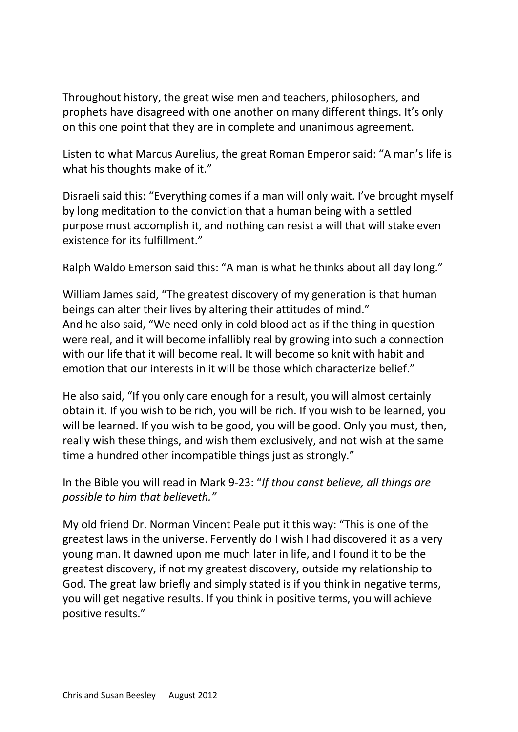Throughout history, the great wise men and teachers, philosophers, and prophets have disagreed with one another on many different things. It's only on this one point that they are in complete and unanimous agreement.

Listen to what Marcus Aurelius, the great Roman Emperor said: "A man's life is what his thoughts make of it."

Disraeli said this: "Everything comes if a man will only wait. I've brought myself by long meditation to the conviction that a human being with a settled purpose must accomplish it, and nothing can resist a will that will stake even existence for its fulfillment."

Ralph Waldo Emerson said this: "A man is what he thinks about all day long."

William James said, "The greatest discovery of my generation is that human beings can alter their lives by altering their attitudes of mind." And he also said, "We need only in cold blood act as if the thing in question were real, and it will become infallibly real by growing into such a connection with our life that it will become real. It will become so knit with habit and emotion that our interests in it will be those which characterize belief."

He also said, "If you only care enough for a result, you will almost certainly obtain it. If you wish to be rich, you will be rich. If you wish to be learned, you will be learned. If you wish to be good, you will be good. Only you must, then, really wish these things, and wish them exclusively, and not wish at the same time a hundred other incompatible things just as strongly."

In the Bible you will read in Mark 9-23: "*If thou canst believe, all things are possible to him that believeth."*

My old friend Dr. Norman Vincent Peale put it this way: "This is one of the greatest laws in the universe. Fervently do I wish I had discovered it as a very young man. It dawned upon me much later in life, and I found it to be the greatest discovery, if not my greatest discovery, outside my relationship to God. The great law briefly and simply stated is if you think in negative terms, you will get negative results. If you think in positive terms, you will achieve positive results."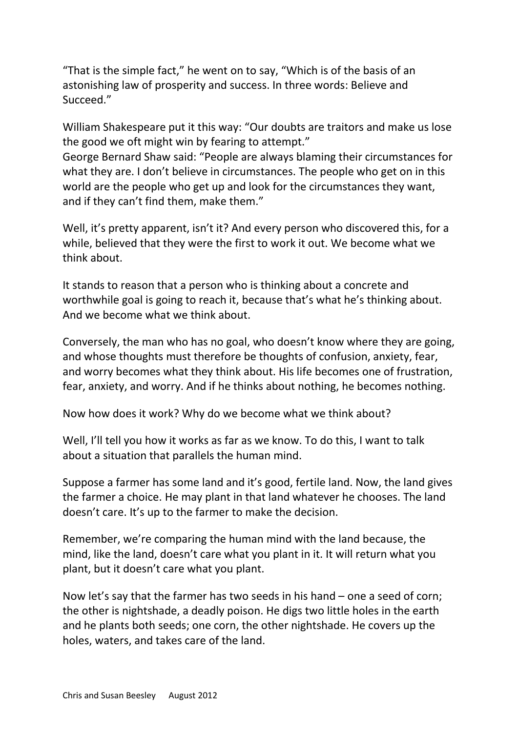"That is the simple fact," he went on to say, "Which is of the basis of an astonishing law of prosperity and success. In three words: Believe and Succeed."

William Shakespeare put it this way: "Our doubts are traitors and make us lose the good we oft might win by fearing to attempt." George Bernard Shaw said: "People are always blaming their circumstances for what they are. I don't believe in circumstances. The people who get on in this world are the people who get up and look for the circumstances they want, and if they can't find them, make them."

Well, it's pretty apparent, isn't it? And every person who discovered this, for a while, believed that they were the first to work it out. We become what we think about.

It stands to reason that a person who is thinking about a concrete and worthwhile goal is going to reach it, because that's what he's thinking about. And we become what we think about.

Conversely, the man who has no goal, who doesn't know where they are going, and whose thoughts must therefore be thoughts of confusion, anxiety, fear, and worry becomes what they think about. His life becomes one of frustration, fear, anxiety, and worry. And if he thinks about nothing, he becomes nothing.

Now how does it work? Why do we become what we think about?

Well, I'll tell you how it works as far as we know. To do this, I want to talk about a situation that parallels the human mind.

Suppose a farmer has some land and it's good, fertile land. Now, the land gives the farmer a choice. He may plant in that land whatever he chooses. The land doesn't care. It's up to the farmer to make the decision.

Remember, we're comparing the human mind with the land because, the mind, like the land, doesn't care what you plant in it. It will return what you plant, but it doesn't care what you plant.

Now let's say that the farmer has two seeds in his hand – one a seed of corn; the other is nightshade, a deadly poison. He digs two little holes in the earth and he plants both seeds; one corn, the other nightshade. He covers up the holes, waters, and takes care of the land.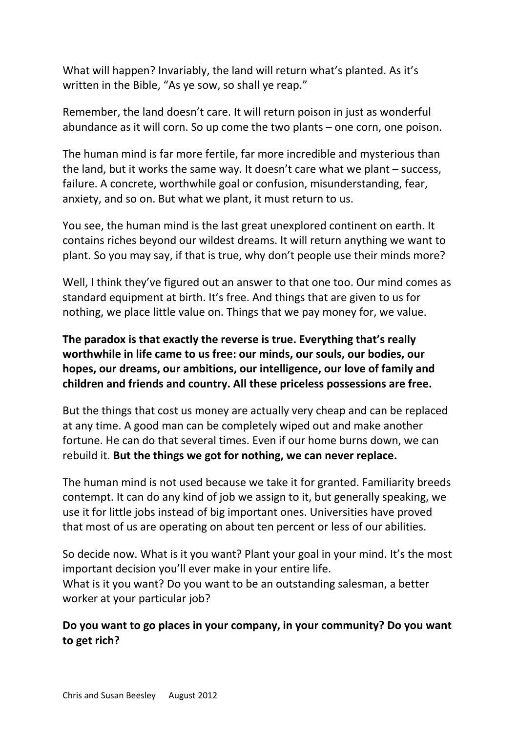What will happen? Invariably, the land will return what's planted. As it's written in the Bible, "As ye sow, so shall ye reap."

Remember, the land doesn't care. It will return poison in just as wonderful abundance as it will corn. So up come the two plants – one corn, one poison.

The human mind is far more fertile, far more incredible and mysterious than the land, but it works the same way. It doesn't care what we plant – success, failure. A concrete, worthwhile goal or confusion, misunderstanding, fear, anxiety, and so on. But what we plant, it must return to us.

You see, the human mind is the last great unexplored continent on earth. It contains riches beyond our wildest dreams. It will return anything we want to plant. So you may say, if that is true, why don't people use their minds more?

Well, I think they've figured out an answer to that one too. Our mind comes as standard equipment at birth. It's free. And things that are given to us for nothing, we place little value on. Things that we pay money for, we value.

**The paradox is that exactly the reverse is true. Everything that's really worthwhile in life came to us free: our minds, our souls, our bodies, our hopes, our dreams, our ambitions, our intelligence, our love of family and children and friends and country. All these priceless possessions are free.**

But the things that cost us money are actually very cheap and can be replaced at any time. A good man can be completely wiped out and make another fortune. He can do that several times. Even if our home burns down, we can rebuild it. **But the things we got for nothing, we can never replace.**

The human mind is not used because we take it for granted. Familiarity breeds contempt. It can do any kind of job we assign to it, but generally speaking, we use it for little jobs instead of big important ones. Universities have proved that most of us are operating on about ten percent or less of our abilities.

So decide now. What is it you want? Plant your goal in your mind. It's the most important decision you'll ever make in your entire life. What is it you want? Do you want to be an outstanding salesman, a better worker at your particular job?

#### **Do you want to go places in your company, in your community? Do you want to get rich?**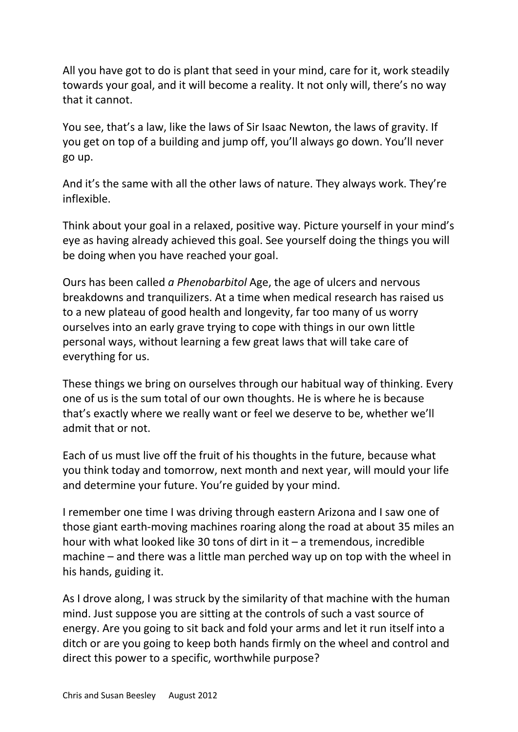All you have got to do is plant that seed in your mind, care for it, work steadily towards your goal, and it will become a reality. It not only will, there's no way that it cannot.

You see, that's a law, like the laws of Sir Isaac Newton, the laws of gravity. If you get on top of a building and jump off, you'll always go down. You'll never go up.

And it's the same with all the other laws of nature. They always work. They're inflexible.

Think about your goal in a relaxed, positive way. Picture yourself in your mind's eye as having already achieved this goal. See yourself doing the things you will be doing when you have reached your goal.

Ours has been called *a Phenobarbitol* Age, the age of ulcers and nervous breakdowns and tranquilizers. At a time when medical research has raised us to a new plateau of good health and longevity, far too many of us worry ourselves into an early grave trying to cope with things in our own little personal ways, without learning a few great laws that will take care of everything for us.

These things we bring on ourselves through our habitual way of thinking. Every one of us is the sum total of our own thoughts. He is where he is because that's exactly where we really want or feel we deserve to be, whether we'll admit that or not.

Each of us must live off the fruit of his thoughts in the future, because what you think today and tomorrow, next month and next year, will mould your life and determine your future. You're guided by your mind.

I remember one time I was driving through eastern Arizona and I saw one of those giant earth-moving machines roaring along the road at about 35 miles an hour with what looked like 30 tons of dirt in it – a tremendous, incredible machine – and there was a little man perched way up on top with the wheel in his hands, guiding it.

As I drove along, I was struck by the similarity of that machine with the human mind. Just suppose you are sitting at the controls of such a vast source of energy. Are you going to sit back and fold your arms and let it run itself into a ditch or are you going to keep both hands firmly on the wheel and control and direct this power to a specific, worthwhile purpose?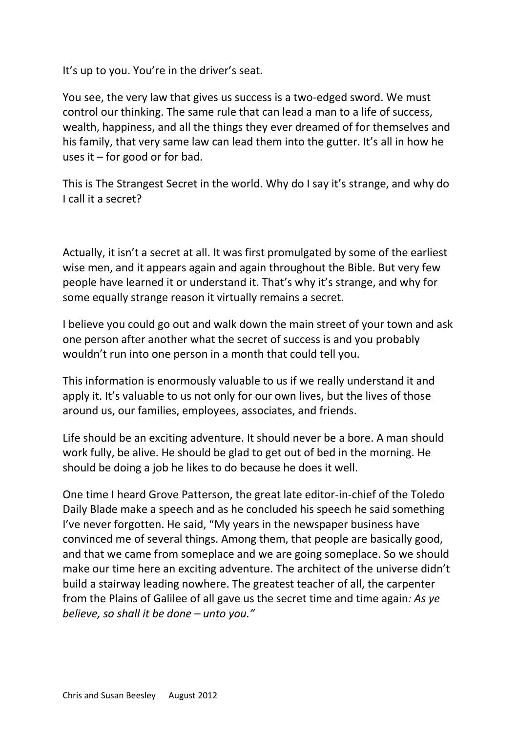It's up to you. You're in the driver's seat.

You see, the very law that gives us success is a two-edged sword. We must control our thinking. The same rule that can lead a man to a life of success, wealth, happiness, and all the things they ever dreamed of for themselves and his family, that very same law can lead them into the gutter. It's all in how he uses it – for good or for bad.

This is The Strangest Secret in the world. Why do I say it's strange, and why do I call it a secret?

Actually, it isn't a secret at all. It was first promulgated by some of the earliest wise men, and it appears again and again throughout the Bible. But very few people have learned it or understand it. That's why it's strange, and why for some equally strange reason it virtually remains a secret.

I believe you could go out and walk down the main street of your town and ask one person after another what the secret of success is and you probably wouldn't run into one person in a month that could tell you.

This information is enormously valuable to us if we really understand it and apply it. It's valuable to us not only for our own lives, but the lives of those around us, our families, employees, associates, and friends.

Life should be an exciting adventure. It should never be a bore. A man should work fully, be alive. He should be glad to get out of bed in the morning. He should be doing a job he likes to do because he does it well.

One time I heard Grove Patterson, the great late editor-in-chief of the Toledo Daily Blade make a speech and as he concluded his speech he said something I've never forgotten. He said, "My years in the newspaper business have convinced me of several things. Among them, that people are basically good, and that we came from someplace and we are going someplace. So we should make our time here an exciting adventure. The architect of the universe didn't build a stairway leading nowhere. The greatest teacher of all, the carpenter from the Plains of Galilee of all gave us the secret time and time again*: As ye believe, so shall it be done – unto you."*